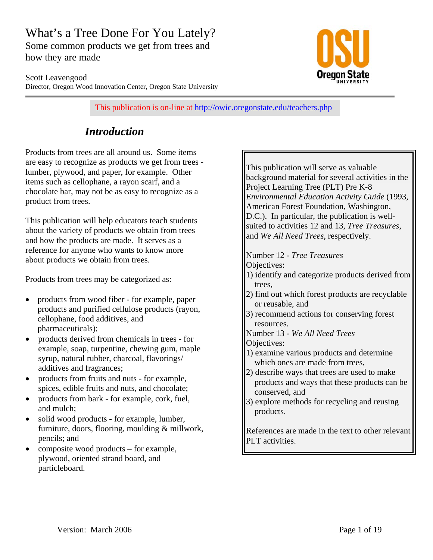# What's a Tree Done For You Lately?

Some common products we get from trees and how they are made



Scott Leavengood Director, Oregon Wood Innovation Center, Oregon State University

This publication is on-line at http://owic.oregonstate.edu/teachers.php

## *Introduction*

Products from trees are all around us. Some items are easy to recognize as products we get from trees lumber, plywood, and paper, for example. Other items such as cellophane, a rayon scarf, and a chocolate bar, may not be as easy to recognize as a product from trees.

This publication will help educators teach students about the variety of products we obtain from trees and how the products are made. It serves as a reference for anyone who wants to know more about products we obtain from trees.

Products from trees may be categorized as:

- products from wood fiber for example, paper products and purified cellulose products (rayon, cellophane, food additives, and pharmaceuticals);
- products derived from chemicals in trees for example, soap, turpentine, chewing gum, maple syrup, natural rubber, charcoal, flavorings/ additives and fragrances;
- products from fruits and nuts for example, spices, edible fruits and nuts, and chocolate;
- products from bark for example, cork, fuel, and mulch;
- solid wood products for example, lumber, furniture, doors, flooring, moulding & millwork, pencils; and
- composite wood products for example, plywood, oriented strand board, and particleboard.

This publication will serve as valuable background material for several activities in the Project Learning Tree (PLT) Pre K-8 *Environmental Education Activity Guide* (1993, American Forest Foundation, Washington, D.C.). In particular, the publication is wellsuited to activities 12 and 13, *Tree Treasures*, and *We All Need Trees*, respectively.

- Number 12 *Tree Treasures* Objectives:
- 1) identify and categorize products derived from trees,
- 2) find out which forest products are recyclable or reusable, and
- 3) recommend actions for conserving forest resources.
- Number 13 *We All Need Trees*
- Objectives:
- 1) examine various products and determine which ones are made from trees,
- 2) describe ways that trees are used to make products and ways that these products can be conserved, and
- 3) explore methods for recycling and reusing products.

References are made in the text to other relevant PLT activities.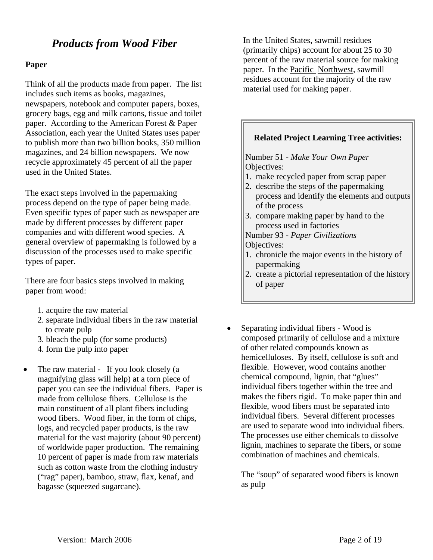## *Products from Wood Fiber*

#### **Paper**

Think of all the products made from paper. The list includes such items as books, magazines, newspapers, notebook and computer papers, boxes, grocery bags, egg and milk cartons, tissue and toilet paper. According to the American Forest & Paper Association, each year the United States uses paper to publish more than two billion books, 350 million magazines, and 24 billion newspapers. We now recycle approximately 45 percent of all the paper used in the United States.

The exact steps involved in the papermaking process depend on the type of paper being made. Even specific types of paper such as newspaper are made by different processes by different paper companies and with different wood species. A general overview of papermaking is followed by a discussion of the processes used to make specific types of paper.

There are four basics steps involved in making paper from wood:

- 1. acquire the raw material
- 2. separate individual fibers in the raw material to create pulp
- 3. bleach the pulp (for some products)
- 4. form the pulp into paper
- The raw material If you look closely (a magnifying glass will help) at a torn piece of paper you can see the individual fibers. Paper is made from cellulose fibers. Cellulose is the main constituent of all plant fibers including wood fibers. Wood fiber, in the form of chips, logs, and recycled paper products, is the raw material for the vast majority (about 90 percent) of worldwide paper production. The remaining 10 percent of paper is made from raw materials such as cotton waste from the clothing industry ("rag" paper), bamboo, straw, flax, kenaf, and bagasse (squeezed sugarcane).

In the United States, sawmill residues (primarily chips) account for about 25 to 30 percent of the raw material source for making paper. In the Pacific Northwest, sawmill residues account for the majority of the raw material used for making paper.

#### **Related Project Learning Tree activities:**

Number 51 - *Make Your Own Paper* Objectives:

- 1. make recycled paper from scrap paper
- 2. describe the steps of the papermaking process and identify the elements and outputs of the process
- 3. compare making paper by hand to the process used in factories

Number 93 - *Paper Civilizations* Objectives:

- 1. chronicle the major events in the history of papermaking
- 2. create a pictorial representation of the history of paper
- Separating individual fibers Wood is composed primarily of cellulose and a mixture of other related compounds known as hemicelluloses. By itself, cellulose is soft and flexible. However, wood contains another chemical compound, lignin, that "glues" individual fibers together within the tree and makes the fibers rigid. To make paper thin and flexible, wood fibers must be separated into individual fibers. Several different processes are used to separate wood into individual fibers. The processes use either chemicals to dissolve lignin, machines to separate the fibers, or some combination of machines and chemicals.

The "soup" of separated wood fibers is known as pulp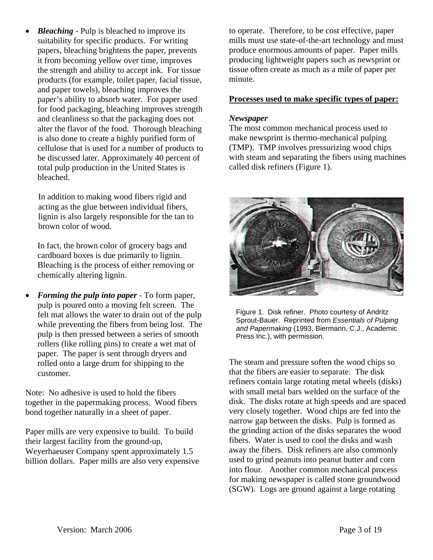• *Bleaching* - Pulp is bleached to improve its suitability for specific products. For writing papers, bleaching brightens the paper, prevents it from becoming yellow over time, improves the strength and ability to accept ink. For tissue products (for example, toilet paper, facial tissue, and paper towels), bleaching improves the paper's ability to absorb water. For paper used for food packaging, bleaching improves strength and cleanliness so that the packaging does not alter the flavor of the food. Thorough bleaching is also done to create a highly purified form of cellulose that is used for a number of products to be discussed later. Approximately 40 percent of total pulp production in the United States is bleached.

In addition to making wood fibers rigid and acting as the glue between individual fibers, lignin is also largely responsible for the tan to brown color of wood.

In fact, the brown color of grocery bags and cardboard boxes is due primarily to lignin. Bleaching is the process of either removing or chemically altering lignin.

• *Forming the pulp into paper* - To form paper, pulp is poured onto a moving felt screen. The felt mat allows the water to drain out of the pulp while preventing the fibers from being lost. The pulp is then pressed between a series of smooth rollers (like rolling pins) to create a wet mat of paper. The paper is sent through dryers and rolled onto a large drum for shipping to the customer.

Note: No adhesive is used to hold the fibers together in the papermaking process. Wood fibers bond together naturally in a sheet of paper.

Paper mills are very expensive to build. To build their largest facility from the ground-up, Weyerhaeuser Company spent approximately 1.5 billion dollars. Paper mills are also very expensive to operate. Therefore, to be cost effective, paper mills must use state-of-the-art technology and must produce enormous amounts of paper. Paper mills producing lightweight papers such as newsprint or tissue often create as much as a mile of paper per minute.

#### **Processes used to make specific types of paper:**

#### *Newspaper*

The most common mechanical process used to make newsprint is thermo-mechanical pulping (TMP). TMP involves pressurizing wood chips with steam and separating the fibers using machines called disk refiners (Figure 1).



Figure 1. Disk refiner. Photo courtesy of Andritz Sprout-Bauer. Reprinted from *Essentials of Pulping and Papermaking* (1993, Biermann, C.J., Academic Press Inc.), with permission.

The steam and pressure soften the wood chips so that the fibers are easier to separate. The disk refiners contain large rotating metal wheels (disks) with small metal bars welded on the surface of the disk. The disks rotate at high speeds and are spaced very closely together. Wood chips are fed into the narrow gap between the disks. Pulp is formed as the grinding action of the disks separates the wood fibers. Water is used to cool the disks and wash away the fibers. Disk refiners are also commonly used to grind peanuts into peanut butter and corn into flour. Another common mechanical process for making newspaper is called stone groundwood (SGW). Logs are ground against a large rotating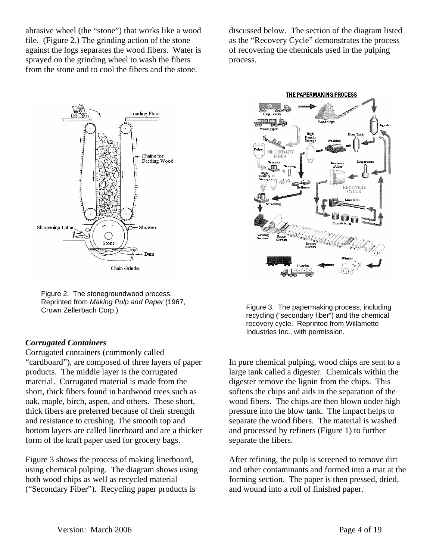abrasive wheel (the "stone") that works like a wood file. (Figure 2.) The grinding action of the stone against the logs separates the wood fibers. Water is sprayed on the grinding wheel to wash the fibers from the stone and to cool the fibers and the stone.

discussed below. The section of the diagram listed as the "Recovery Cycle" demonstrates the process of recovering the chemicals used in the pulping process.



Figure 2. The stonegroundwood process. Reprinted from *Making Pulp and Paper* (1967,

#### *Corrugated Containers*

Corrugated containers (commonly called "cardboard"), are composed of three layers of paper products. The middle layer is the corrugated material. Corrugated material is made from the short, thick fibers found in hardwood trees such as oak, maple, birch, aspen, and others. These short, thick fibers are preferred because of their strength and resistance to crushing. The smooth top and bottom layers are called linerboard and are a thicker form of the kraft paper used for grocery bags.

Figure 3 shows the process of making linerboard, using chemical pulping. The diagram shows using both wood chips as well as recycled material ("Secondary Fiber"). Recycling paper products is



Crown Zellerbach Corp.) Figure 3. The papermaking process, including recycling ("secondary fiber") and the chemical recovery cycle. Reprinted from Willamette Industries Inc., with permission.

> In pure chemical pulping, wood chips are sent to a large tank called a digester. Chemicals within the digester remove the lignin from the chips. This softens the chips and aids in the separation of the wood fibers. The chips are then blown under high pressure into the blow tank. The impact helps to separate the wood fibers. The material is washed and processed by refiners (Figure 1) to further separate the fibers.

After refining, the pulp is screened to remove dirt and other contaminants and formed into a mat at the forming section. The paper is then pressed, dried, and wound into a roll of finished paper.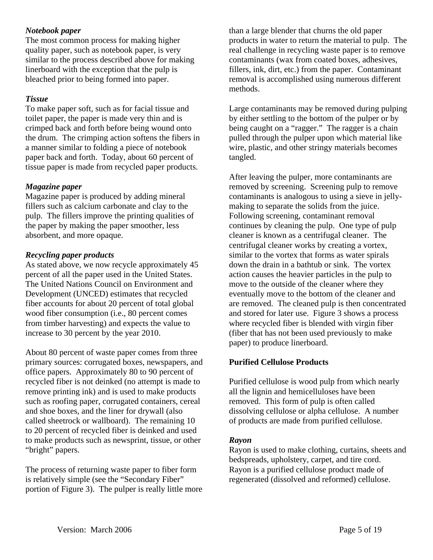#### *Notebook paper*

The most common process for making higher quality paper, such as notebook paper, is very similar to the process described above for making linerboard with the exception that the pulp is bleached prior to being formed into paper.

#### *Tissue*

To make paper soft, such as for facial tissue and toilet paper, the paper is made very thin and is crimped back and forth before being wound onto the drum. The crimping action softens the fibers in a manner similar to folding a piece of notebook paper back and forth. Today, about 60 percent of tissue paper is made from recycled paper products.

#### *Magazine paper*

Magazine paper is produced by adding mineral fillers such as calcium carbonate and clay to the pulp. The fillers improve the printing qualities of the paper by making the paper smoother, less absorbent, and more opaque.

#### *Recycling paper products*

As stated above, we now recycle approximately 45 percent of all the paper used in the United States. The United Nations Council on Environment and Development (UNCED) estimates that recycled fiber accounts for about 20 percent of total global wood fiber consumption (i.e., 80 percent comes from timber harvesting) and expects the value to increase to 30 percent by the year 2010.

About 80 percent of waste paper comes from three primary sources: corrugated boxes, newspapers, and office papers. Approximately 80 to 90 percent of recycled fiber is not deinked (no attempt is made to remove printing ink) and is used to make products such as roofing paper, corrugated containers, cereal and shoe boxes, and the liner for drywall (also called sheetrock or wallboard). The remaining 10 to 20 percent of recycled fiber is deinked and used to make products such as newsprint, tissue, or other "bright" papers.

The process of returning waste paper to fiber form is relatively simple (see the "Secondary Fiber" portion of Figure 3). The pulper is really little more

than a large blender that churns the old paper products in water to return the material to pulp. The real challenge in recycling waste paper is to remove contaminants (wax from coated boxes, adhesives, fillers, ink, dirt, etc.) from the paper. Contaminant removal is accomplished using numerous different methods.

Large contaminants may be removed during pulping by either settling to the bottom of the pulper or by being caught on a "ragger." The ragger is a chain pulled through the pulper upon which material like wire, plastic, and other stringy materials becomes tangled.

After leaving the pulper, more contaminants are removed by screening. Screening pulp to remove contaminants is analogous to using a sieve in jellymaking to separate the solids from the juice. Following screening, contaminant removal continues by cleaning the pulp. One type of pulp cleaner is known as a centrifugal cleaner. The centrifugal cleaner works by creating a vortex, similar to the vortex that forms as water spirals down the drain in a bathtub or sink. The vortex action causes the heavier particles in the pulp to move to the outside of the cleaner where they eventually move to the bottom of the cleaner and are removed. The cleaned pulp is then concentrated and stored for later use. Figure 3 shows a process where recycled fiber is blended with virgin fiber (fiber that has not been used previously to make paper) to produce linerboard.

#### **Purified Cellulose Products**

Purified cellulose is wood pulp from which nearly all the lignin and hemicelluloses have been removed. This form of pulp is often called dissolving cellulose or alpha cellulose. A number of products are made from purified cellulose.

#### *Rayon*

Rayon is used to make clothing, curtains, sheets and bedspreads, upholstery, carpet, and tire cord. Rayon is a purified cellulose product made of regenerated (dissolved and reformed) cellulose.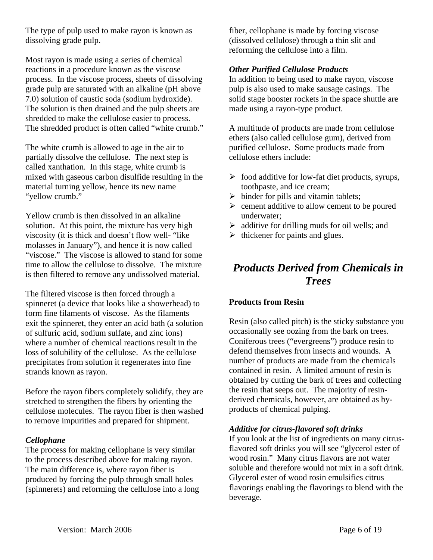The type of pulp used to make rayon is known as dissolving grade pulp.

Most rayon is made using a series of chemical reactions in a procedure known as the viscose process. In the viscose process, sheets of dissolving grade pulp are saturated with an alkaline (pH above 7.0) solution of caustic soda (sodium hydroxide). The solution is then drained and the pulp sheets are shredded to make the cellulose easier to process. The shredded product is often called "white crumb."

The white crumb is allowed to age in the air to partially dissolve the cellulose. The next step is called xanthation. In this stage, white crumb is mixed with gaseous carbon disulfide resulting in the material turning yellow, hence its new name "yellow crumb."

Yellow crumb is then dissolved in an alkaline solution. At this point, the mixture has very high viscosity (it is thick and doesn't flow well- "like molasses in January"), and hence it is now called "viscose." The viscose is allowed to stand for some time to allow the cellulose to dissolve. The mixture is then filtered to remove any undissolved material.

The filtered viscose is then forced through a spinneret (a device that looks like a showerhead) to form fine filaments of viscose. As the filaments exit the spinneret, they enter an acid bath (a solution of sulfuric acid, sodium sulfate, and zinc ions) where a number of chemical reactions result in the loss of solubility of the cellulose. As the cellulose precipitates from solution it regenerates into fine strands known as rayon.

Before the rayon fibers completely solidify, they are stretched to strengthen the fibers by orienting the cellulose molecules. The rayon fiber is then washed to remove impurities and prepared for shipment.

#### *Cellophane*

The process for making cellophane is very similar to the process described above for making rayon. The main difference is, where rayon fiber is produced by forcing the pulp through small holes (spinnerets) and reforming the cellulose into a long fiber, cellophane is made by forcing viscose (dissolved cellulose) through a thin slit and reforming the cellulose into a film.

#### *Other Purified Cellulose Products*

In addition to being used to make rayon, viscose pulp is also used to make sausage casings. The solid stage booster rockets in the space shuttle are made using a rayon-type product.

A multitude of products are made from cellulose ethers (also called cellulose gum), derived from purified cellulose. Some products made from cellulose ethers include:

- $\triangleright$  food additive for low-fat diet products, syrups, toothpaste, and ice cream;
- $\triangleright$  binder for pills and vitamin tablets;
- $\triangleright$  cement additive to allow cement to be poured underwater;
- $\triangleright$  additive for drilling muds for oil wells; and
- $\triangleright$  thickener for paints and glues.

## *Products Derived from Chemicals in Trees*

#### **Products from Resin**

Resin (also called pitch) is the sticky substance you occasionally see oozing from the bark on trees. Coniferous trees ("evergreens") produce resin to defend themselves from insects and wounds. A number of products are made from the chemicals contained in resin. A limited amount of resin is obtained by cutting the bark of trees and collecting the resin that seeps out. The majority of resinderived chemicals, however, are obtained as byproducts of chemical pulping.

#### *Additive for citrus-flavored soft drinks*

If you look at the list of ingredients on many citrusflavored soft drinks you will see "glycerol ester of wood rosin." Many citrus flavors are not water soluble and therefore would not mix in a soft drink. Glycerol ester of wood rosin emulsifies citrus flavorings enabling the flavorings to blend with the beverage.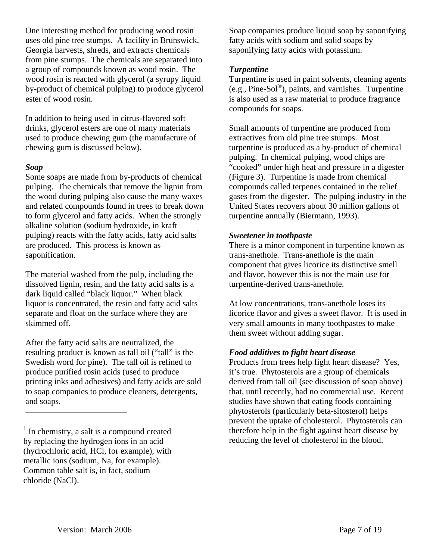One interesting method for producing wood rosin uses old pine tree stumps. A facility in Brunswick, Georgia harvests, shreds, and extracts chemicals from pine stumps. The chemicals are separated into a group of compounds known as wood rosin. The wood rosin is reacted with glycerol (a syrupy liquid by-product of chemical pulping) to produce glycerol ester of wood rosin.

In addition to being used in citrus-flavored soft drinks, glycerol esters are one of many materials used to produce chewing gum (the manufacture of chewing gum is discussed below).

#### *Soap*

 $\overline{a}$ 

Some soaps are made from by-products of chemical pulping. The chemicals that remove the lignin from the wood during pulping also cause the many waxes and related compounds found in trees to break down to form glycerol and fatty acids. When the strongly alkaline solution (sodium hydroxide, in kraft pulping) reacts with the fatty acids, fatty acid salts<sup>[1](#page-6-0)</sup> are produced. This process is known as saponification.

The material washed from the pulp, including the dissolved lignin, resin, and the fatty acid salts is a dark liquid called "black liquor." When black liquor is concentrated, the resin and fatty acid salts separate and float on the surface where they are skimmed off.

After the fatty acid salts are neutralized, the resulting product is known as tall oil ("tall" is the Swedish word for pine). The tall oil is refined to produce purified rosin acids (used to produce printing inks and adhesives) and fatty acids are sold to soap companies to produce cleaners, detergents, and soaps.

Soap companies produce liquid soap by saponifying fatty acids with sodium and solid soaps by saponifying fatty acids with potassium.

#### *Turpentine*

Turpentine is used in paint solvents, cleaning agents (e.g., Pine-Sol®), paints, and varnishes. Turpentine is also used as a raw material to produce fragrance compounds for soaps.

Small amounts of turpentine are produced from extractives from old pine tree stumps. Most turpentine is produced as a by-product of chemical pulping. In chemical pulping, wood chips are "cooked" under high heat and pressure in a digester (Figure 3). Turpentine is made from chemical compounds called terpenes contained in the relief gases from the digester. The pulping industry in the United States recovers about 30 million gallons of turpentine annually (Biermann, 1993).

#### *Sweetener in toothpaste*

There is a minor component in turpentine known as trans-anethole. Trans-anethole is the main component that gives licorice its distinctive smell and flavor, however this is not the main use for turpentine-derived trans-anethole.

At low concentrations, trans-anethole loses its licorice flavor and gives a sweet flavor. It is used in very small amounts in many toothpastes to make them sweet without adding sugar.

#### *Food additives to fight heart disease*

Products from trees help fight heart disease? Yes, it's true. Phytosterols are a group of chemicals derived from tall oil (see discussion of soap above) that, until recently, had no commercial use. Recent studies have shown that eating foods containing phytosterols (particularly beta-sitosterol) helps prevent the uptake of cholesterol. Phytosterols can therefore help in the fight against heart disease by reducing the level of cholesterol in the blood.

<span id="page-6-0"></span><sup>&</sup>lt;sup>1</sup> In chemistry, a salt is a compound created by replacing the hydrogen ions in an acid (hydrochloric acid, HCl, for example), with metallic ions (sodium, Na, for example). Common table salt is, in fact, sodium chloride (NaCl).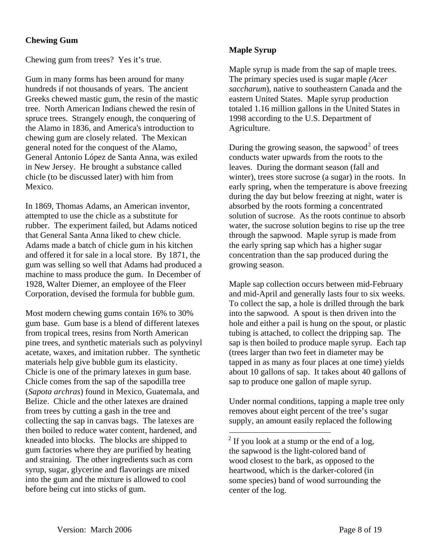#### **Chewing Gum**

Chewing gum from trees? Yes it's true.

Gum in many forms has been around for many hundreds if not thousands of years. The ancient Greeks chewed mastic gum, the resin of the mastic tree. North American Indians chewed the resin of spruce trees. Strangely enough, the conquering of the Alamo in 1836, and America's introduction to chewing gum are closely related. The Mexican general noted for the conquest of the Alamo, General Antonio López de Santa Anna, was exiled in New Jersey. He brought a substance called chicle (to be discussed later) with him from Mexico.

In 1869, Thomas Adams, an American inventor, attempted to use the chicle as a substitute for rubber. The experiment failed, but Adams noticed that General Santa Anna liked to chew chicle. Adams made a batch of chicle gum in his kitchen and offered it for sale in a local store. By 1871, the gum was selling so well that Adams had produced a machine to mass produce the gum. In December of 1928, Walter Diemer, an employee of the Fleer Corporation, devised the formula for bubble gum.

<span id="page-7-0"></span>Most modern chewing gums contain 16% to 30% gum base. Gum base is a blend of different latexes from tropical trees, resins from North American pine trees, and synthetic materials such as polyvinyl acetate, waxes, and imitation rubber. The synthetic materials help give bubble gum its elasticity. Chicle is one of the primary latexes in gum base. Chicle comes from the sap of the sapodilla tree (*Sapota archras*) found in Mexico, Guatemala, and Belize. Chicle and the other latexes are drained from trees by cutting a gash in the tree and collecting the sap in canvas bags. The latexes are then boiled to reduce water content, hardened, and kneaded into blocks. The blocks are shipped to gum factories where they are purified by heating and straining. The other ingredients such as corn syrup, sugar, glycerine and flavorings are mixed into the gum and the mixture is allowed to cool before being cut into sticks of gum.

#### **Maple Syrup**

Maple syrup is made from the sap of maple trees. The primary species used is sugar maple *(Acer saccharum*), native to southeastern Canada and the eastern United States. Maple syrup production totaled 1.16 million gallons in the United States in 1998 according to the U.S. Department of Agriculture.

During the growing season, the sapwood<sup>[2](#page-7-0)</sup> of trees conducts water upwards from the roots to the leaves. During the dormant season (fall and winter), trees store sucrose (a sugar) in the roots. In early spring, when the temperature is above freezing during the day but below freezing at night, water is absorbed by the roots forming a concentrated solution of sucrose. As the roots continue to absorb water, the sucrose solution begins to rise up the tree through the sapwood. Maple syrup is made from the early spring sap which has a higher sugar concentration than the sap produced during the growing season.

Maple sap collection occurs between mid-February and mid-April and generally lasts four to six weeks. To collect the sap, a hole is drilled through the bark into the sapwood. A spout is then driven into the hole and either a pail is hung on the spout, or plastic tubing is attached, to collect the dripping sap. The sap is then boiled to produce maple syrup. Each tap (trees larger than two feet in diameter may be tapped in as many as four places at one time) yields about 10 gallons of sap. It takes about 40 gallons of sap to produce one gallon of maple syrup.

Under normal conditions, tapping a maple tree only removes about eight percent of the tree's sugar supply, an amount easily replaced the following

<sup>&</sup>lt;sup>2</sup> If you look at a stump or the end of a log, the sapwood is the light-colored band of wood closest to the bark, as opposed to the heartwood, which is the darker-colored (in some species) band of wood surrounding the center of the log.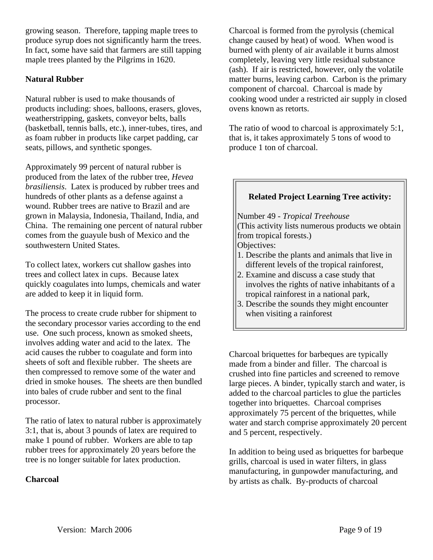growing season. Therefore, tapping maple trees to produce syrup does not significantly harm the trees. In fact, some have said that farmers are still tapping maple trees planted by the Pilgrims in 1620.

#### **Natural Rubber**

Natural rubber is used to make thousands of products including: shoes, balloons, erasers, gloves, weatherstripping, gaskets, conveyor belts, balls (basketball, tennis balls, etc.), inner-tubes, tires, and as foam rubber in products like carpet padding, car seats, pillows, and synthetic sponges.

Approximately 99 percent of natural rubber is produced from the latex of the rubber tree, *Hevea brasiliensis*. Latex is produced by rubber trees and hundreds of other plants as a defense against a wound. Rubber trees are native to Brazil and are grown in Malaysia, Indonesia, Thailand, India, and China. The remaining one percent of natural rubber comes from the guayule bush of Mexico and the southwestern United States.

To collect latex, workers cut shallow gashes into trees and collect latex in cups. Because latex quickly coagulates into lumps, chemicals and water are added to keep it in liquid form.

The process to create crude rubber for shipment to the secondary processor varies according to the end use. One such process, known as smoked sheets, involves adding water and acid to the latex. The acid causes the rubber to coagulate and form into sheets of soft and flexible rubber. The sheets are then compressed to remove some of the water and dried in smoke houses. The sheets are then bundled into bales of crude rubber and sent to the final processor.

The ratio of latex to natural rubber is approximately 3:1, that is, about 3 pounds of latex are required to make 1 pound of rubber. Workers are able to tap rubber trees for approximately 20 years before the tree is no longer suitable for latex production.

#### **Charcoal**

Charcoal is formed from the pyrolysis (chemical change caused by heat) of wood. When wood is burned with plenty of air available it burns almost completely, leaving very little residual substance (ash). If air is restricted, however, only the volatile matter burns, leaving carbon. Carbon is the primary component of charcoal. Charcoal is made by cooking wood under a restricted air supply in closed ovens known as retorts.

The ratio of wood to charcoal is approximately 5:1, that is, it takes approximately 5 tons of wood to produce 1 ton of charcoal.

## **Related Project Learning Tree activity:**  Number 49 - *Tropical Treehouse* (This activity lists numerous products we obtain from tropical forests.) Objectives: 1. Describe the plants and animals that live in different levels of the tropical rainforest, 2. Examine and discuss a case study that involves the rights of native inhabitants of a tropical rainforest in a national park, 3. Describe the sounds they might encounter when visiting a rainforest

Charcoal briquettes for barbeques are typically made from a binder and filler. The charcoal is crushed into fine particles and screened to remove large pieces. A binder, typically starch and water, is added to the charcoal particles to glue the particles together into briquettes. Charcoal comprises approximately 75 percent of the briquettes, while water and starch comprise approximately 20 percent and 5 percent, respectively.

In addition to being used as briquettes for barbeque grills, charcoal is used in water filters, in glass manufacturing, in gunpowder manufacturing, and by artists as chalk. By-products of charcoal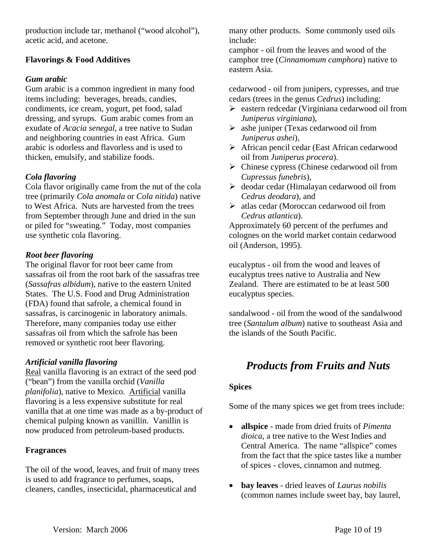production include tar, methanol ("wood alcohol"), acetic acid, and acetone.

#### **Flavorings & Food Additives**

#### *Gum arabic*

Gum arabic is a common ingredient in many food items including: beverages, breads, candies, condiments, ice cream, yogurt, pet food, salad dressing, and syrups. Gum arabic comes from an exudate of *Acacia senegal*, a tree native to Sudan and neighboring countries in east Africa. Gum arabic is odorless and flavorless and is used to thicken, emulsify, and stabilize foods.

#### *Cola flavoring*

Cola flavor originally came from the nut of the cola tree (primarily *Cola anomala* or *Cola nitida*) native to West Africa. Nuts are harvested from the trees from September through June and dried in the sun or piled for "sweating." Today, most companies use synthetic cola flavoring.

#### *Root beer flavoring*

The original flavor for root beer came from sassafras oil from the root bark of the sassafras tree (*Sassafras albidum*), native to the eastern United States. The U.S. Food and Drug Administration (FDA) found that safrole, a chemical found in sassafras, is carcinogenic in laboratory animals. Therefore, many companies today use either sassafras oil from which the safrole has been removed or synthetic root beer flavoring.

#### *Artificial vanilla flavoring*

Real vanilla flavoring is an extract of the seed pod ("bean") from the vanilla orchid (*Vanilla planifolia*), native to Mexico. Artificial vanilla flavoring is a less expensive substitute for real vanilla that at one time was made as a by-product of chemical pulping known as vanillin. Vanillin is now produced from petroleum-based products.

#### **Fragrances**

The oil of the wood, leaves, and fruit of many trees is used to add fragrance to perfumes, soaps, cleaners, candles, insecticidal, pharmaceutical and

many other products. Some commonly used oils include:

camphor - oil from the leaves and wood of the camphor tree (*Cinnamomum camphora*) native to eastern Asia.

cedarwood - oil from junipers, cypresses, and true cedars (trees in the genus *Cedrus*) including:

- $\triangleright$  eastern redcedar (Virginiana cedarwood oil from *Juniperus virginiana*),
- $\triangleright$  ashe juniper (Texas cedarwood oil from *Juniperus ashei*),
- ¾ African pencil cedar (East African cedarwood oil from *Juniperus procera*).
- $\triangleright$  Chinese cypress (Chinese cedarwood oil from *Cupressus funebris*),
- ¾ deodar cedar (Himalayan cedarwood oil from *Cedrus deodara*), and
- $\triangleright$  atlas cedar (Moroccan cedarwood oil from *Cedrus atlantica*).

Approximately 60 percent of the perfumes and colognes on the world market contain cedarwood oil (Anderson, 1995).

eucalyptus - oil from the wood and leaves of eucalyptus trees native to Australia and New Zealand. There are estimated to be at least 500 eucalyptus species.

sandalwood - oil from the wood of the sandalwood tree (*Santalum album*) native to southeast Asia and the islands of the South Pacific.

## *Products from Fruits and Nuts*

#### **Spices**

Some of the many spices we get from trees include:

- **allspice**  made from dried fruits of *Pimenta dioica*, a tree native to the West Indies and Central America. The name "allspice" comes from the fact that the spice tastes like a number of spices - cloves, cinnamon and nutmeg.
- **bay leaves** dried leaves of *Laurus nobilis* (common names include sweet bay, bay laurel,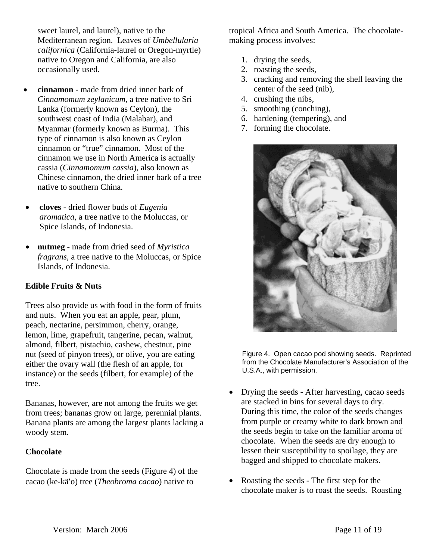sweet laurel, and laurel), native to the Mediterranean region. Leaves of *Umbellularia californica* (California-laurel or Oregon-myrtle) native to Oregon and California, are also occasionally used.

- **cinnamon** made from dried inner bark of *Cinnamomum zeylanicum*, a tree native to Sri Lanka (formerly known as Ceylon), the southwest coast of India (Malabar), and Myanmar (formerly known as Burma). This type of cinnamon is also known as Ceylon cinnamon or "true" cinnamon. Most of the cinnamon we use in North America is actually cassia (*Cinnamomum cassia*), also known as Chinese cinnamon, the dried inner bark of a tree native to southern China.
- **cloves** dried flower buds of *Eugenia aromatica*, a tree native to the Moluccas, or Spice Islands, of Indonesia.
- **nutmeg** made from dried seed of *Myristica fragrans*, a tree native to the Moluccas, or Spice Islands, of Indonesia.

#### **Edible Fruits & Nuts**

Trees also provide us with food in the form of fruits and nuts. When you eat an apple, pear, plum, peach, nectarine, persimmon, cherry, orange, lemon, lime, grapefruit, tangerine, pecan, walnut, almond, filbert, pistachio, cashew, chestnut, pine nut (seed of pinyon trees), or olive, you are eating either the ovary wall (the flesh of an apple, for instance) or the seeds (filbert, for example) of the tree.

Bananas, however, are not among the fruits we get from trees; bananas grow on large, perennial plants. Banana plants are among the largest plants lacking a woody stem.

#### **Chocolate**

Chocolate is made from the seeds (Figure 4) of the cacao (ke-kä′o) tree (*Theobroma cacao*) native to

tropical Africa and South America. The chocolatemaking process involves:

- 1. drying the seeds,
- 2. roasting the seeds,
- 3. cracking and removing the shell leaving the center of the seed (nib),
- 4. crushing the nibs,
- 5. smoothing (conching),
- 6. hardening (tempering), and
- 7. forming the chocolate.



Figure 4. Open cacao pod showing seeds. Reprinted from the Chocolate Manufacturer's Association of the U.S.A., with permission.

- Drying the seeds After harvesting, cacao seeds are stacked in bins for several days to dry. During this time, the color of the seeds changes from purple or creamy white to dark brown and the seeds begin to take on the familiar aroma of chocolate. When the seeds are dry enough to lessen their susceptibility to spoilage, they are bagged and shipped to chocolate makers.
- Roasting the seeds The first step for the chocolate maker is to roast the seeds. Roasting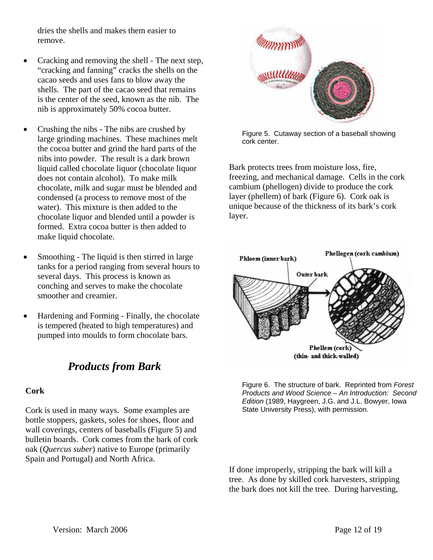dries the shells and makes them easier to remove.

- Cracking and removing the shell The next step, "cracking and fanning" cracks the shells on the cacao seeds and uses fans to blow away the shells. The part of the cacao seed that remains is the center of the seed, known as the nib. The nib is approximately 50% cocoa butter.
- Crushing the nibs The nibs are crushed by large grinding machines. These machines melt the cocoa butter and grind the hard parts of the nibs into powder. The result is a dark brown liquid called chocolate liquor (chocolate liquor does not contain alcohol). To make milk chocolate, milk and sugar must be blended and condensed (a process to remove most of the water). This mixture is then added to the chocolate liquor and blended until a powder is formed. Extra cocoa butter is then added to make liquid chocolate.
- Smoothing The liquid is then stirred in large tanks for a period ranging from several hours to several days. This process is known as conching and serves to make the chocolate smoother and creamier.
- Hardening and Forming Finally, the chocolate is tempered (heated to high temperatures) and pumped into moulds to form chocolate bars.

## *Products from Bark*

#### **Cork**

Cork is used in many ways. Some examples are bottle stoppers, gaskets, soles for shoes, floor and wall coverings, centers of baseballs (Figure 5) and bulletin boards. Cork comes from the bark of cork oak (*Quercus suber*) native to Europe (primarily Spain and Portugal) and North Africa.



Figure 5. Cutaway section of a baseball showing cork center.

Bark protects trees from moisture loss, fire, freezing, and mechanical damage. Cells in the cork cambium (phellogen) divide to produce the cork layer (phellem) of bark (Figure 6). Cork oak is unique because of the thickness of its bark's cork layer.



Figure 6. The structure of bark. Reprinted from *Forest Products and Wood Science – An Introduction: Second Edition* (1989, Haygreen, J.G. and J.L. Bowyer, Iowa State University Press), with permission.

If done improperly, stripping the bark will kill a tree. As done by skilled cork harvesters, stripping the bark does not kill the tree. During harvesting,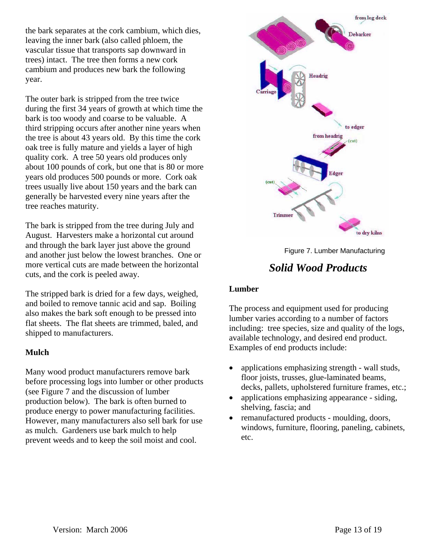the bark separates at the cork cambium, which dies, leaving the inner bark (also called phloem, the vascular tissue that transports sap downward in trees) intact. The tree then forms a new cork cambium and produces new bark the following year.

The outer bark is stripped from the tree twice during the first 34 years of growth at which time the bark is too woody and coarse to be valuable. A third stripping occurs after another nine years when the tree is about 43 years old. By this time the cork oak tree is fully mature and yields a layer of high quality cork. A tree 50 years old produces only about 100 pounds of cork, but one that is 80 or more years old produces 500 pounds or more. Cork oak trees usually live about 150 years and the bark can generally be harvested every nine years after the tree reaches maturity.

The bark is stripped from the tree during July and August. Harvesters make a horizontal cut around and through the bark layer just above the ground and another just below the lowest branches. One or more vertical cuts are made between the horizontal cuts, and the cork is peeled away.

The stripped bark is dried for a few days, weighed, and boiled to remove tannic acid and sap. Boiling also makes the bark soft enough to be pressed into flat sheets. The flat sheets are trimmed, baled, and shipped to manufacturers.

#### **Mulch**

Many wood product manufacturers remove bark before processing logs into lumber or other products (see Figure 7 and the discussion of lumber production below). The bark is often burned to produce energy to power manufacturing facilities. However, many manufacturers also sell bark for use as mulch. Gardeners use bark mulch to help prevent weeds and to keep the soil moist and cool.



Figure 7. Lumber Manufacturing

## *Solid Wood Products*

#### **Lumber**

The process and equipment used for producing lumber varies according to a number of factors including: tree species, size and quality of the logs, available technology, and desired end product. Examples of end products include:

- applications emphasizing strength wall studs, floor joists, trusses, glue-laminated beams, decks, pallets, upholstered furniture frames, etc.;
- applications emphasizing appearance siding, shelving, fascia; and
- remanufactured products moulding, doors, windows, furniture, flooring, paneling, cabinets, etc.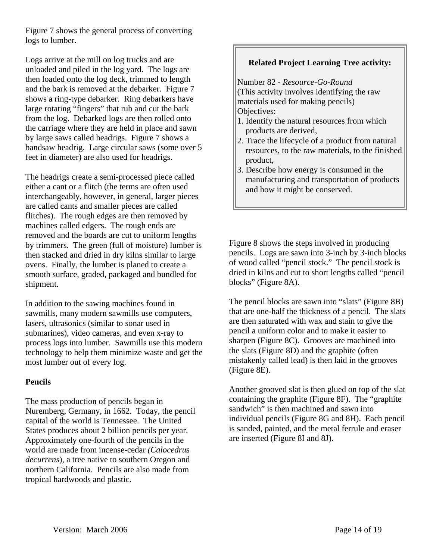Figure 7 shows the general process of converting logs to lumber.

Logs arrive at the mill on log trucks and are unloaded and piled in the log yard. The logs are then loaded onto the log deck, trimmed to length and the bark is removed at the debarker. Figure 7 shows a ring-type debarker. Ring debarkers have large rotating "fingers" that rub and cut the bark from the log. Debarked logs are then rolled onto the carriage where they are held in place and sawn by large saws called headrigs. Figure 7 shows a bandsaw headrig. Large circular saws (some over 5 feet in diameter) are also used for headrigs.

The headrigs create a semi-processed piece called either a cant or a flitch (the terms are often used interchangeably, however, in general, larger pieces are called cants and smaller pieces are called flitches). The rough edges are then removed by machines called edgers. The rough ends are removed and the boards are cut to uniform lengths by trimmers. The green (full of moisture) lumber is then stacked and dried in dry kilns similar to large ovens. Finally, the lumber is planed to create a smooth surface, graded, packaged and bundled for shipment.

In addition to the sawing machines found in sawmills, many modern sawmills use computers, lasers, ultrasonics (similar to sonar used in submarines), video cameras, and even x-ray to process logs into lumber. Sawmills use this modern technology to help them minimize waste and get the most lumber out of every log.

#### **Pencils**

The mass production of pencils began in Nuremberg, Germany, in 1662. Today, the pencil capital of the world is Tennessee. The United States produces about 2 billion pencils per year. Approximately one-fourth of the pencils in the world are made from incense-cedar *(Calocedrus decurrens*), a tree native to southern Oregon and northern California. Pencils are also made from tropical hardwoods and plastic.

#### **Related Project Learning Tree activity:**

Number 82 - *Resource-Go-Round* (This activity involves identifying the raw materials used for making pencils) Objectives:

- 1. Identify the natural resources from which products are derived,
- 2. Trace the lifecycle of a product from natural resources, to the raw materials, to the finished product,
- 3. Describe how energy is consumed in the manufacturing and transportation of products and how it might be conserved.

Figure 8 shows the steps involved in producing pencils. Logs are sawn into 3-inch by 3-inch blocks of wood called "pencil stock." The pencil stock is dried in kilns and cut to short lengths called "pencil blocks" (Figure 8A).

The pencil blocks are sawn into "slats" (Figure 8B) that are one-half the thickness of a pencil. The slats are then saturated with wax and stain to give the pencil a uniform color and to make it easier to sharpen (Figure 8C). Grooves are machined into the slats (Figure 8D) and the graphite (often mistakenly called lead) is then laid in the grooves (Figure 8E).

Another grooved slat is then glued on top of the slat containing the graphite (Figure 8F). The "graphite sandwich" is then machined and sawn into individual pencils (Figure 8G and 8H). Each pencil is sanded, painted, and the metal ferrule and eraser are inserted (Figure 8I and 8J).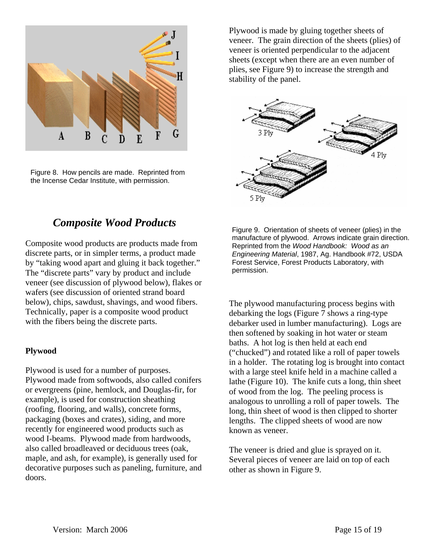

Figure 8. How pencils are made. Reprinted from the Incense Cedar Institute, with permission.

Plywood is made by gluing together sheets of veneer. The grain direction of the sheets (plies) of veneer is oriented perpendicular to the adjacent sheets (except when there are an even number of plies, see Figure 9) to increase the strength and stability of the panel.



## *Composite Wood Products*

Composite wood products are products made from discrete parts, or in simpler terms, a product made by "taking wood apart and gluing it back together." The "discrete parts" vary by product and include veneer (see discussion of plywood below), flakes or wafers (see discussion of oriented strand board below), chips, sawdust, shavings, and wood fibers. Technically, paper is a composite wood product with the fibers being the discrete parts.

#### **Plywood**

Plywood is used for a number of purposes. Plywood made from softwoods, also called conifers or evergreens (pine, hemlock, and Douglas-fir, for example), is used for construction sheathing (roofing, flooring, and walls), concrete forms, packaging (boxes and crates), siding, and more recently for engineered wood products such as wood I-beams. Plywood made from hardwoods, also called broadleaved or deciduous trees (oak, maple, and ash, for example), is generally used for decorative purposes such as paneling, furniture, and doors.

Figure 9. Orientation of sheets of veneer (plies) in the manufacture of plywood. Arrows indicate grain direction. Reprinted from the *Wood Handbook: Wood as an Engineering Material*, 1987, Ag. Handbook #72, USDA Forest Service, Forest Products Laboratory, with permission.

The plywood manufacturing process begins with debarking the logs (Figure 7 shows a ring-type debarker used in lumber manufacturing). Logs are then softened by soaking in hot water or steam baths. A hot log is then held at each end ("chucked") and rotated like a roll of paper towels in a holder. The rotating log is brought into contact with a large steel knife held in a machine called a lathe (Figure 10). The knife cuts a long, thin sheet of wood from the log. The peeling process is analogous to unrolling a roll of paper towels. The long, thin sheet of wood is then clipped to shorter lengths. The clipped sheets of wood are now known as veneer.

The veneer is dried and glue is sprayed on it. Several pieces of veneer are laid on top of each other as shown in Figure 9.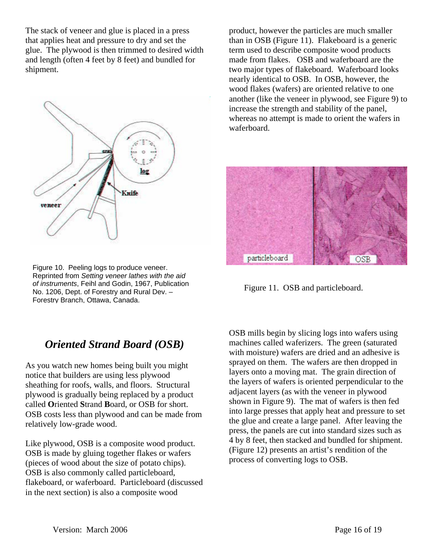The stack of veneer and glue is placed in a press that applies heat and pressure to dry and set the glue. The plywood is then trimmed to desired width and length (often 4 feet by 8 feet) and bundled for shipment.



Figure 10. Peeling logs to produce veneer. Reprinted from *Setting veneer lathes with the aid of instruments*, Feihl and Godin, 1967, Publication No. 1206, Dept. of Forestry and Rural Dev. – Forestry Branch, Ottawa, Canada.

## *Oriented Strand Board (OSB)*

As you watch new homes being built you might notice that builders are using less plywood sheathing for roofs, walls, and floors. Structural plywood is gradually being replaced by a product called **O**riented **S**trand **B**oard, or OSB for short. OSB costs less than plywood and can be made from relatively low-grade wood.

Like plywood, OSB is a composite wood product. OSB is made by gluing together flakes or wafers (pieces of wood about the size of potato chips). OSB is also commonly called particleboard, flakeboard, or waferboard. Particleboard (discussed in the next section) is also a composite wood

product, however the particles are much smaller than in OSB (Figure 11). Flakeboard is a generic term used to describe composite wood products made from flakes. OSB and waferboard are the two major types of flakeboard. Waferboard looks nearly identical to OSB. In OSB, however, the wood flakes (wafers) are oriented relative to one another (like the veneer in plywood, see Figure 9) to increase the strength and stability of the panel, whereas no attempt is made to orient the wafers in waferboard.



Figure 11. OSB and particleboard.

OSB mills begin by slicing logs into wafers using machines called waferizers. The green (saturated with moisture) wafers are dried and an adhesive is sprayed on them. The wafers are then dropped in layers onto a moving mat. The grain direction of the layers of wafers is oriented perpendicular to the adjacent layers (as with the veneer in plywood shown in Figure 9). The mat of wafers is then fed into large presses that apply heat and pressure to set the glue and create a large panel. After leaving the press, the panels are cut into standard sizes such as 4 by 8 feet, then stacked and bundled for shipment. (Figure 12) presents an artist's rendition of the process of converting logs to OSB.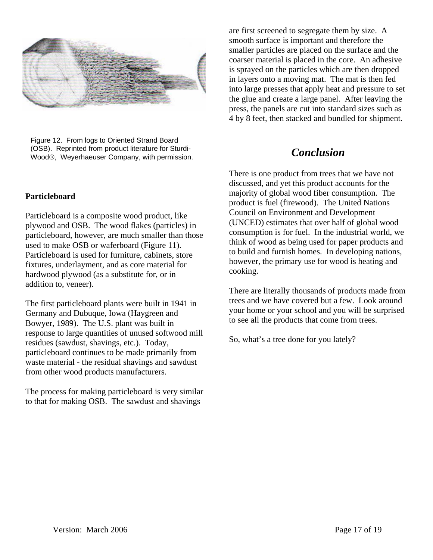

Figure 12. From logs to Oriented Strand Board (OSB). Reprinted from product literature for Sturdi-Wood®, Weyerhaeuser Company, with permission. *Conclusion* 

#### **Particleboard**

Particleboard is a composite wood product, like plywood and OSB. The wood flakes (particles) in particleboard, however, are much smaller than those used to make OSB or waferboard (Figure 11). Particleboard is used for furniture, cabinets, store fixtures, underlayment, and as core material for hardwood plywood (as a substitute for, or in addition to, veneer).

The first particleboard plants were built in 1941 in Germany and Dubuque, Iowa (Haygreen and Bowyer, 1989). The U.S. plant was built in response to large quantities of unused softwood mill residues (sawdust, shavings, etc.). Today, particleboard continues to be made primarily from waste material - the residual shavings and sawdust from other wood products manufacturers.

The process for making particleboard is very similar to that for making OSB. The sawdust and shavings

are first screened to segregate them by size. A smooth surface is important and therefore the smaller particles are placed on the surface and the coarser material is placed in the core. An adhesive is sprayed on the particles which are then dropped in layers onto a moving mat. The mat is then fed into large presses that apply heat and pressure to set the glue and create a large panel. After leaving the press, the panels are cut into standard sizes such as 4 by 8 feet, then stacked and bundled for shipment.

There is one product from trees that we have not discussed, and yet this product accounts for the majority of global wood fiber consumption. The product is fuel (firewood). The United Nations Council on Environment and Development (UNCED) estimates that over half of global wood consumption is for fuel. In the industrial world, we think of wood as being used for paper products and to build and furnish homes. In developing nations, however, the primary use for wood is heating and cooking.

There are literally thousands of products made from trees and we have covered but a few. Look around your home or your school and you will be surprised to see all the products that come from trees.

So, what's a tree done for you lately?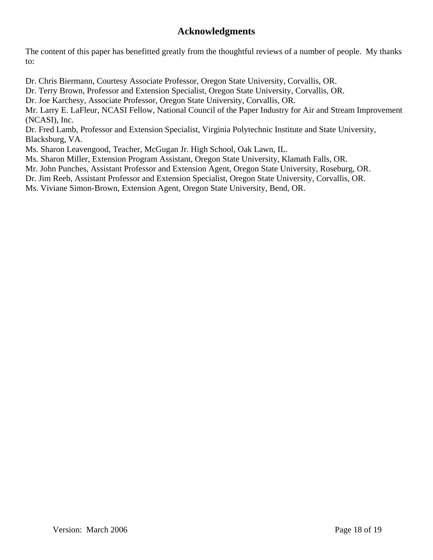### **Acknowledgments**

The content of this paper has benefitted greatly from the thoughtful reviews of a number of people. My thanks to:

Dr. Chris Biermann, Courtesy Associate Professor, Oregon State University, Corvallis, OR.

Dr. Terry Brown, Professor and Extension Specialist, Oregon State University, Corvallis, OR.

Dr. Joe Karchesy, Associate Professor, Oregon State University, Corvallis, OR.

Mr. Larry E. LaFleur, NCASI Fellow, National Council of the Paper Industry for Air and Stream Improvement (NCASI), Inc.

Dr. Fred Lamb, Professor and Extension Specialist, Virginia Polytechnic Institute and State University, Blacksburg, VA.

Ms. Sharon Leavengood, Teacher, McGugan Jr. High School, Oak Lawn, IL.

Ms. Sharon Miller, Extension Program Assistant, Oregon State University, Klamath Falls, OR.

Mr. John Punches, Assistant Professor and Extension Agent, Oregon State University, Roseburg, OR.

Dr. Jim Reeb, Assistant Professor and Extension Specialist, Oregon State University, Corvallis, OR.

Ms. Viviane Simon-Brown, Extension Agent, Oregon State University, Bend, OR.